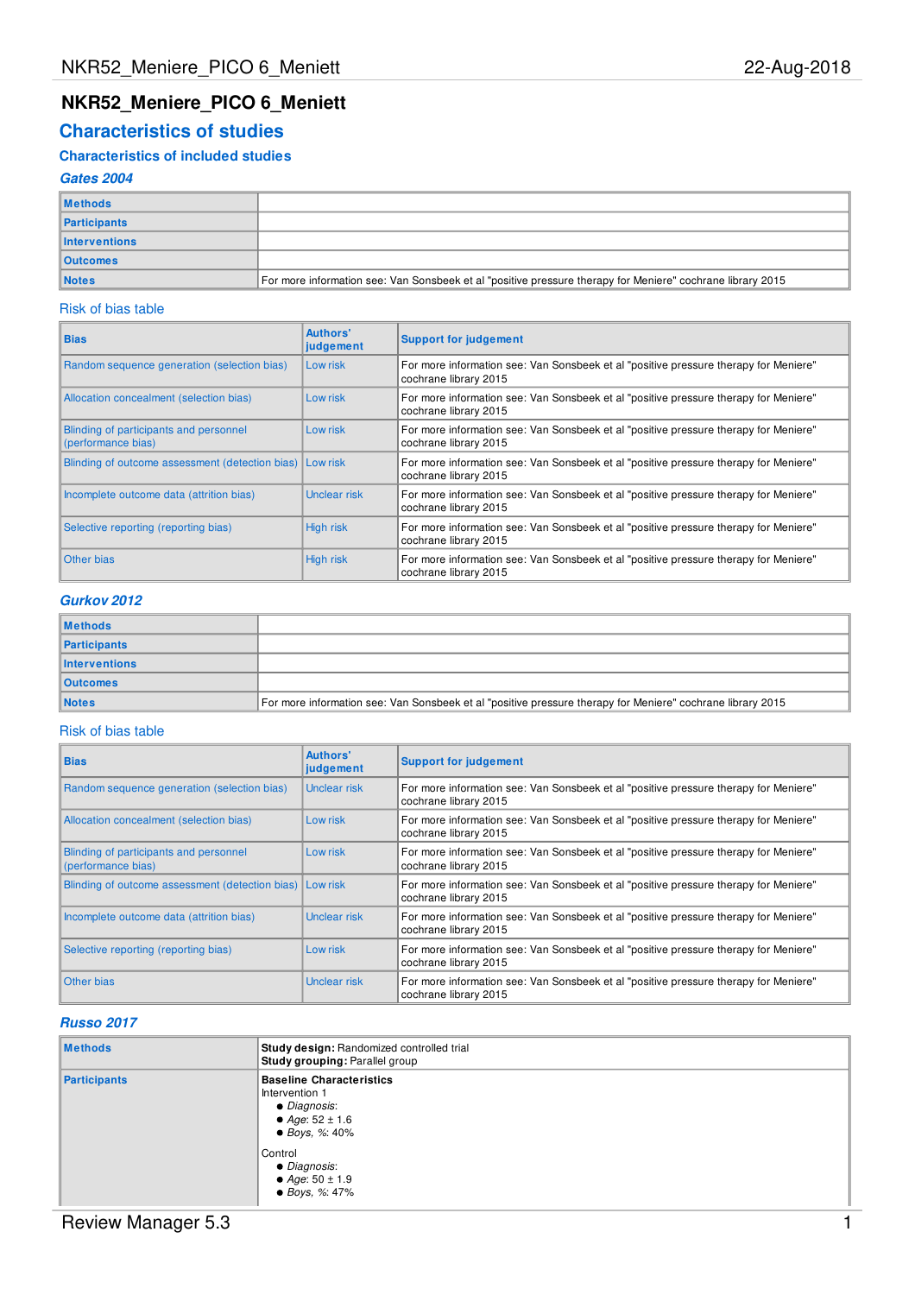# **NKR52\_Meniere\_PICO 6\_Meniett**

# **Characteristics of studies**

## **Characteristics of included studies**

### **Gates 2004**

| <b>Methods</b>       |                                                                                                            |
|----------------------|------------------------------------------------------------------------------------------------------------|
| <b>Participants</b>  |                                                                                                            |
| <b>Interventions</b> |                                                                                                            |
| <b>Outcomes</b>      |                                                                                                            |
| <b>Notes</b>         | For more information see: Van Sonsbeek et al "positive pressure therapy for Meniere" cochrane library 2015 |

### Risk of bias table

| <b>Bias</b>                                                  | Authors'<br>judgement | <b>Support for judgement</b>                                                                                  |  |  |  |  |
|--------------------------------------------------------------|-----------------------|---------------------------------------------------------------------------------------------------------------|--|--|--|--|
| Random sequence generation (selection bias)                  | Low risk              | For more information see: Van Sonsbeek et al "positive pressure therapy for Meniere"<br>cochrane library 2015 |  |  |  |  |
| Allocation concealment (selection bias)                      | Low risk              | For more information see: Van Sonsbeek et al "positive pressure therapy for Meniere"<br>cochrane library 2015 |  |  |  |  |
| Blinding of participants and personnel<br>(performance bias) | Low risk              | For more information see: Van Sonsbeek et al "positive pressure therapy for Meniere"<br>cochrane library 2015 |  |  |  |  |
| Blinding of outcome assessment (detection bias) Low risk     |                       | For more information see: Van Sonsbeek et al "positive pressure therapy for Meniere"<br>cochrane library 2015 |  |  |  |  |
| Incomplete outcome data (attrition bias)                     | Unclear risk          | For more information see: Van Sonsbeek et al "positive pressure therapy for Meniere"<br>cochrane library 2015 |  |  |  |  |
| Selective reporting (reporting bias)                         | High risk             | For more information see: Van Sonsbeek et al "positive pressure therapy for Meniere"<br>cochrane library 2015 |  |  |  |  |
| Other bias                                                   | High risk             | For more information see: Van Sonsbeek et al "positive pressure therapy for Meniere"<br>cochrane library 2015 |  |  |  |  |

### **Gurkov 2012**

| <b>Methods</b>  |                                                                                                            |
|-----------------|------------------------------------------------------------------------------------------------------------|
| Participants    |                                                                                                            |
| Interventions   |                                                                                                            |
| <b>Outcomes</b> |                                                                                                            |
| <b>Notes</b>    | For more information see: Van Sonsbeek et al "positive pressure therapy for Meniere" cochrane library 2015 |

#### Risk of bias table

| <b>Bias</b>                                                  | Authors'<br>judgement | <b>Support for judgement</b>                                                                                  |  |  |  |  |
|--------------------------------------------------------------|-----------------------|---------------------------------------------------------------------------------------------------------------|--|--|--|--|
| Random sequence generation (selection bias)                  | Unclear risk          | For more information see: Van Sonsbeek et al "positive pressure therapy for Meniere"<br>cochrane library 2015 |  |  |  |  |
| Allocation concealment (selection bias)                      | Low risk              | For more information see: Van Sonsbeek et al "positive pressure therapy for Meniere"<br>cochrane library 2015 |  |  |  |  |
| Blinding of participants and personnel<br>(performance bias) | Low risk              | For more information see: Van Sonsbeek et al "positive pressure therapy for Meniere"<br>cochrane library 2015 |  |  |  |  |
| Blinding of outcome assessment (detection bias) Low risk     |                       | For more information see: Van Sonsbeek et al "positive pressure therapy for Meniere"<br>cochrane library 2015 |  |  |  |  |
| Incomplete outcome data (attrition bias)                     | Unclear risk          | For more information see: Van Sonsbeek et al "positive pressure therapy for Meniere"<br>cochrane library 2015 |  |  |  |  |
| Selective reporting (reporting bias)                         | Low risk              | For more information see: Van Sonsbeek et al "positive pressure therapy for Meniere"<br>cochrane library 2015 |  |  |  |  |
| Other bias                                                   | Unclear risk          | For more information see: Van Sonsbeek et al "positive pressure therapy for Meniere"<br>cochrane library 2015 |  |  |  |  |

## **Russo 2017**

| <b>Methods</b> | Study design: Randomized controlled trial<br>Study grouping: Parallel group                                                                                                               |
|----------------|-------------------------------------------------------------------------------------------------------------------------------------------------------------------------------------------|
| Participants   | <b>Baseline Characteristics</b><br>Intervention 1<br>• Diagnosis:<br>• Age: $52 \pm 1.6$<br>• Boys, %: $40\%$<br>Control<br>• Diagnosis:<br>• Age: $50 \pm 1.9$<br>$\bullet$ Boys, %: 47% |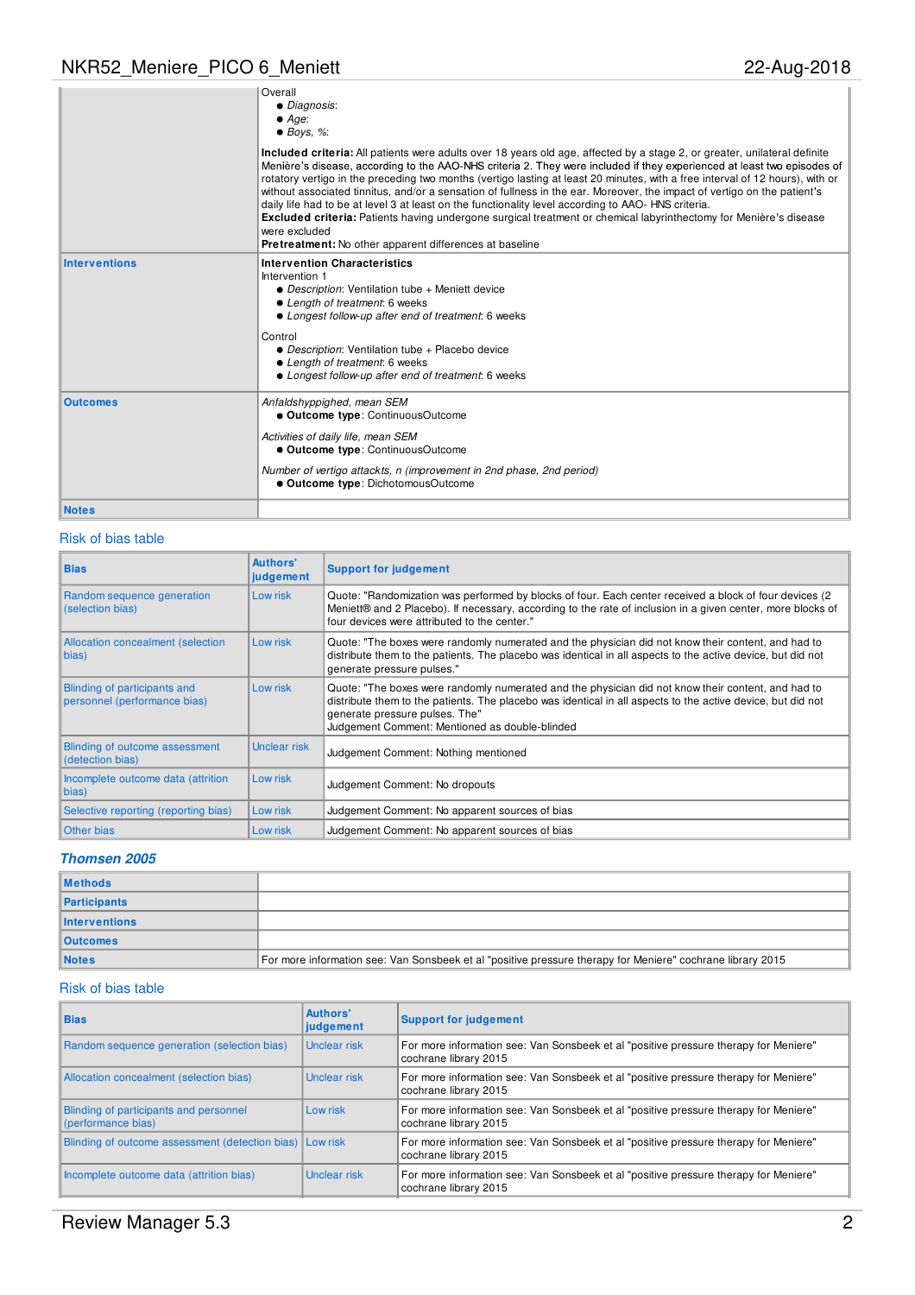# NKR52\_Meniere\_PICO 6\_Meniett 22-Aug-2018

|                      | Overall<br>• Diagnosis:<br>$\bullet$ Age:<br>$\bullet$ Boys, %:                                                                                                                                                                                                                                                                                                                                                                                                                                                                                                                                                                                                                                                                                                                                                                 |
|----------------------|---------------------------------------------------------------------------------------------------------------------------------------------------------------------------------------------------------------------------------------------------------------------------------------------------------------------------------------------------------------------------------------------------------------------------------------------------------------------------------------------------------------------------------------------------------------------------------------------------------------------------------------------------------------------------------------------------------------------------------------------------------------------------------------------------------------------------------|
|                      | Included criteria: All patients were adults over 18 years old age, affected by a stage 2, or greater, unilateral definite<br>Menière's disease, according to the AAO-NHS criteria 2. They were included if they experienced at least two episodes of<br>rotatory vertigo in the preceding two months (vertigo lasting at least 20 minutes, with a free interval of 12 hours), with or<br>without associated tinnitus, and/or a sensation of fullness in the ear. Moreover, the impact of vertigo on the patient's<br>daily life had to be at level 3 at least on the functionality level according to AAO-HNS criteria.<br>Excluded criteria: Patients having undergone surgical treatment or chemical labyrinthectomy for Menière's disease<br>were excluded<br><b>Pretreatment:</b> No other apparent differences at baseline |
| <b>Interventions</b> | <b>Intervention Characteristics</b><br>Intervention 1<br>• Description: Ventilation tube + Meniett device<br>• Length of treatment: 6 weeks<br>• Longest follow-up after end of treatment: 6 weeks<br>Control<br>• Description: Ventilation tube + Placebo device<br>• Length of treatment: 6 weeks                                                                                                                                                                                                                                                                                                                                                                                                                                                                                                                             |
| <b>Outcomes</b>      | • Longest follow-up after end of treatment: 6 weeks<br>Anfaldshyppighed, mean SEM<br>• Outcome type: ContinuousOutcome                                                                                                                                                                                                                                                                                                                                                                                                                                                                                                                                                                                                                                                                                                          |
|                      | Activities of daily life, mean SEM<br>• Outcome type: ContinuousOutcome                                                                                                                                                                                                                                                                                                                                                                                                                                                                                                                                                                                                                                                                                                                                                         |
|                      | Number of vertigo attackts, n (improvement in 2nd phase, 2nd period)<br>· Outcome type: DichotomousOutcome                                                                                                                                                                                                                                                                                                                                                                                                                                                                                                                                                                                                                                                                                                                      |
| <b>Notes</b>         |                                                                                                                                                                                                                                                                                                                                                                                                                                                                                                                                                                                                                                                                                                                                                                                                                                 |

### Risk of bias table

| <b>Bias</b>                                                  | Authors'<br>judgement | <b>Support for judgement</b>                                                                                                                                                                                                                                                                          |
|--------------------------------------------------------------|-----------------------|-------------------------------------------------------------------------------------------------------------------------------------------------------------------------------------------------------------------------------------------------------------------------------------------------------|
| Random sequence generation<br>(selection bias)               | Low risk              | Quote: "Randomization was performed by blocks of four. Each center received a block of four devices (2)<br>Meniett® and 2 Placebo). If necessary, according to the rate of inclusion in a given center, more blocks of<br>four devices were attributed to the center."                                |
| Allocation concealment (selection<br>bias)                   | Low risk              | Quote: "The boxes were randomly numerated and the physician did not know their content, and had to<br>distribute them to the patients. The placebo was identical in all aspects to the active device, but did not<br>generate pressure pulses."                                                       |
| Blinding of participants and<br>personnel (performance bias) | Low risk              | Quote: "The boxes were randomly numerated and the physician did not know their content, and had to<br>distribute them to the patients. The placebo was identical in all aspects to the active device, but did not<br>generate pressure pulses. The"<br>Judgement Comment: Mentioned as double-blinded |
| Blinding of outcome assessment<br>(detection bias)           | Unclear risk          | Judgement Comment: Nothing mentioned                                                                                                                                                                                                                                                                  |
| Incomplete outcome data (attrition<br>bias)                  | Low risk              | Judgement Comment: No dropouts                                                                                                                                                                                                                                                                        |
| Selective reporting (reporting bias)                         | Low risk              | Judgement Comment: No apparent sources of bias                                                                                                                                                                                                                                                        |
| <b>Other bias</b>                                            | Low risk              | Judgement Comment: No apparent sources of bias                                                                                                                                                                                                                                                        |

### **Thomsen 2005**

| <b>Methods</b>       |                                                                                                            |
|----------------------|------------------------------------------------------------------------------------------------------------|
| <b>Participants</b>  |                                                                                                            |
| <b>Interventions</b> |                                                                                                            |
| <b>Outcomes</b>      |                                                                                                            |
| <b>Notes</b>         | For more information see: Van Sonsbeek et al "positive pressure therapy for Meniere" cochrane library 2015 |

### Risk of bias table

| <b>Bias</b>                                                  | Authors'<br>judgement | <b>Support for judgement</b>                                                                                  |
|--------------------------------------------------------------|-----------------------|---------------------------------------------------------------------------------------------------------------|
| Random sequence generation (selection bias)                  | Unclear risk          | For more information see: Van Sonsbeek et al "positive pressure therapy for Meniere"<br>cochrane library 2015 |
| Allocation concealment (selection bias)                      | Unclear risk          | For more information see: Van Sonsbeek et al "positive pressure therapy for Meniere"<br>cochrane library 2015 |
| Blinding of participants and personnel<br>(performance bias) | Low risk              | For more information see: Van Sonsbeek et al "positive pressure therapy for Meniere"<br>cochrane library 2015 |
| Blinding of outcome assessment (detection bias) Low risk     |                       | For more information see: Van Sonsbeek et al "positive pressure therapy for Meniere"<br>cochrane library 2015 |
| Incomplete outcome data (attrition bias)                     | Unclear risk          | For more information see: Van Sonsbeek et al "positive pressure therapy for Meniere"<br>cochrane library 2015 |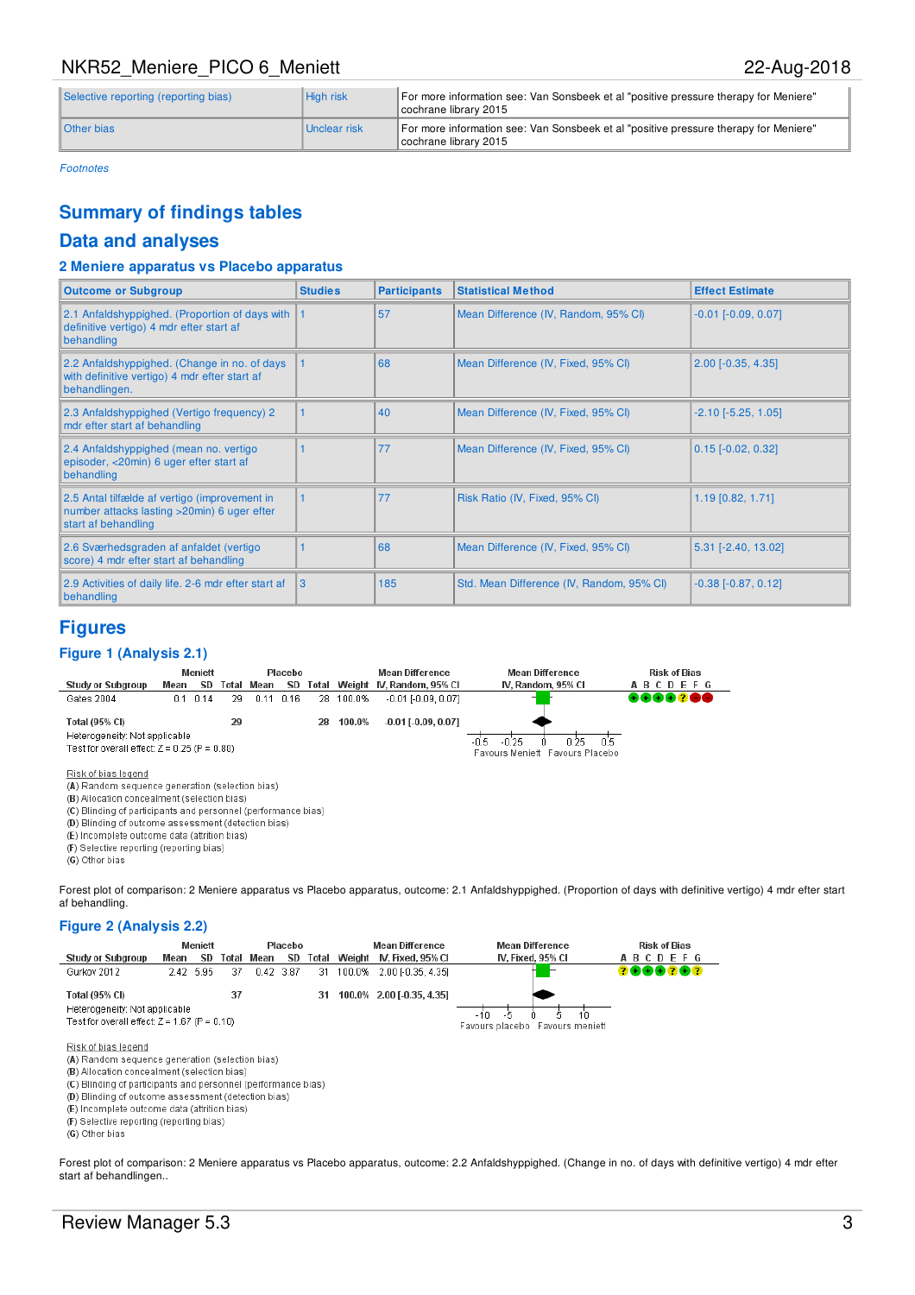# NKR52\_Meniere\_PICO 6\_Meniett 22-Aug-2018

| Selective reporting (reporting bias) | Hiah risk    | For more information see: Van Sonsbeek et al "positive pressure therapy for Meniere"<br>cochrane library 2015 |  |  |  |
|--------------------------------------|--------------|---------------------------------------------------------------------------------------------------------------|--|--|--|
| <b>Other bias</b>                    | Unclear risk | For more information see: Van Sonsbeek et al "positive pressure therapy for Meniere"<br>cochrane library 2015 |  |  |  |

Footnotes

# **Summary of findings tables**

### **Data and analyses**

### **2 Meniere apparatus vs Placebo apparatus**

| <b>Outcome or Subgroup</b>                                                                                           | <b>Studies</b> | <b>Participants</b> | <b>Statistical Method</b>                 | <b>Effect Estimate</b>       |
|----------------------------------------------------------------------------------------------------------------------|----------------|---------------------|-------------------------------------------|------------------------------|
| 2.1 Anfaldshyppighed. (Proportion of days with  <br>definitive vertigo) 4 mdr efter start af<br>behandling           |                | 57                  | Mean Difference (IV, Random, 95% CI)      | $-0.01$ [ $-0.09$ , $0.07$ ] |
| 2.2 Anfaldshyppighed. (Change in no. of days<br>with definitive vertigo) 4 mdr efter start af<br>behandlingen.       |                | 68                  | Mean Difference (IV, Fixed, 95% CI)       | $2.00$ [ $-0.35, 4.35$ ]     |
| 2.3 Anfaldshyppighed (Vertigo frequency) 2<br>mdr efter start af behandling                                          |                | 40                  | Mean Difference (IV, Fixed, 95% CI)       | $-2.10$ [ $-5.25$ , 1.05]    |
| 2.4 Anfaldshyppighed (mean no. vertigo<br>episoder, <20min) 6 uger efter start af<br>behandling                      |                | 77                  | Mean Difference (IV, Fixed, 95% CI)       | $0.15$ [-0.02, 0.32]         |
| 2.5 Antal tilfælde af vertigo (improvement in<br>number attacks lasting > 20min) 6 uger efter<br>start af behandling |                | 77                  | Risk Ratio (IV, Fixed, 95% CI)            | $1.19$ [0.82, 1.71]          |
| 2.6 Sværhedsgraden af anfaldet (vertigo<br>score) 4 mdr efter start af behandling                                    |                | 68                  | Mean Difference (IV, Fixed, 95% CI)       | $5.31$ [-2.40, 13.02]        |
| 2.9 Activities of daily life. 2-6 mdr efter start af<br>behandling                                                   | 3              | 185                 | Std. Mean Difference (IV, Random, 95% CI) | $-0.38$ $[-0.87, 0.12]$      |

### **Figures**

### **Figure 1 (Analysis 2.1)**



(A) Random sequence generation (selection bias)

(B) Allocation concealment (selection bias)

(C) Blinding of participants and personnel (performance bias)

(D) Blinding of outcome assessment (detection bias)

(E) Incomplete outcome data (attrition bias)

(F) Selective reporting (reporting bias)

(G) Other bias

Forest plot of comparison: 2 Meniere apparatus vs Placebo apparatus, outcome: 2.1 Anfaldshyppighed. (Proportion of days with definitive vertigo) 4 mdr efter start af behandling.

### **Figure 2 (Analysis 2.2)**



(F) Selective reporting (reporting bias)

(G) Other bias

Forest plot of comparison: 2 Meniere apparatus vs Placebo apparatus, outcome: 2.2 Anfaldshyppighed. (Change in no. of days with definitive vertigo) 4 mdr efter start af behandlingen..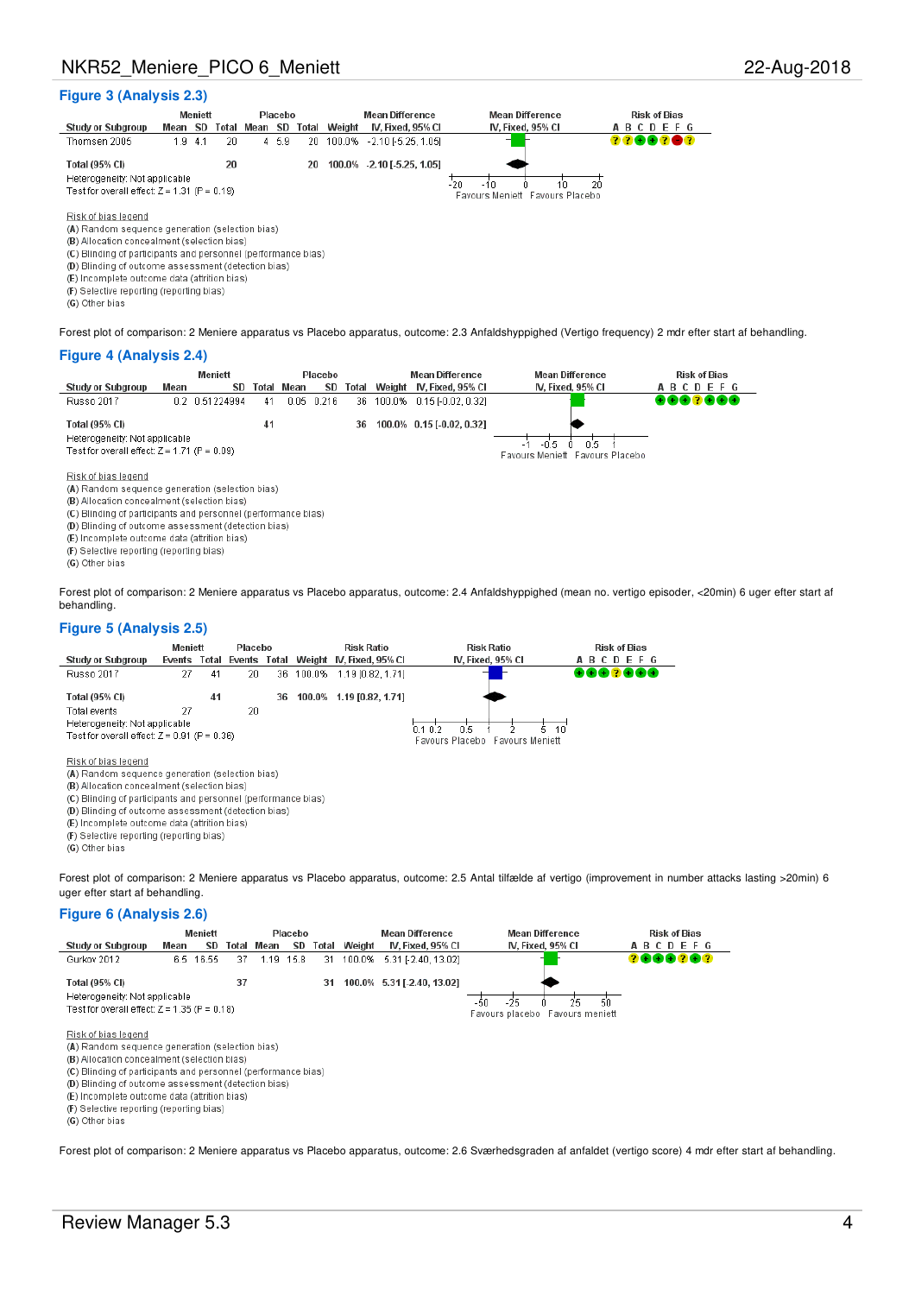### **Figure 3 (Analysis 2.3)**

|                                                                                                |         | <b>Meniett</b> |    |               | Placebo |       | <b>Mean Difference</b> |                           | <b>Mean Difference</b> | <b>Risk of Bias</b> |
|------------------------------------------------------------------------------------------------|---------|----------------|----|---------------|---------|-------|------------------------|---------------------------|------------------------|---------------------|
| <b>Study or Subgroup</b>                                                                       | Mean SD |                |    | Total Mean SD |         | Total | Weight                 | IV. Fixed. 95% CI         | IV. Fixed, 95% CI      | ABCDEFG             |
| Thomsen 2005                                                                                   | 1.9     | 4.1            | 20 |               | 4, 5.9  | 20.   | 100.0%                 | $-2.10$ $-5.25$ , 1.051   |                        | 22882 <b>8</b> 2    |
|                                                                                                |         |                |    |               |         |       |                        |                           |                        |                     |
| Total (95% CI)                                                                                 |         |                | 20 |               |         | 20    | 100.0%                 | $-2.10$ [ $-5.25$ , 1.05] |                        |                     |
| Heterogeneity: Not applicable                                                                  |         |                |    |               |         |       |                        |                           |                        |                     |
| 20<br>-20<br>Test for overall effect: $Z = 1.31$ (P = 0.19)<br>Favours Meniett Favours Placebo |         |                |    |               |         |       |                        |                           |                        |                     |
|                                                                                                |         |                |    |               |         |       |                        |                           |                        |                     |
| Risk of bias legend                                                                            |         |                |    |               |         |       |                        |                           |                        |                     |
| (A) Random sequence generation (selection bias)                                                |         |                |    |               |         |       |                        |                           |                        |                     |
| (B) Allocation concealment (selection bias)                                                    |         |                |    |               |         |       |                        |                           |                        |                     |
| (C) Blinding of participants and personnel (performance bias)                                  |         |                |    |               |         |       |                        |                           |                        |                     |
| (D) Plinding of outcome geogeement (detection bigs)                                            |         |                |    |               |         |       |                        |                           |                        |                     |

(E) Incomplete outcome data (attrition bias)

(F) Selective reporting (reporting bias)

(G) Other bias

Forest plot of comparison: 2 Meniere apparatus vs Placebo apparatus, outcome: 2.3 Anfaldshyppighed (Vertigo frequency) 2 mdr efter start af behandling.

#### **Figure 4 (Analysis 2.4)**

|                                                                                                                                                                                        |      | Meniett        |       | Placebo |       |       | <b>Mean Difference</b> | <b>Mean Difference</b>    | <b>Risk of Bias</b> |                |  |
|----------------------------------------------------------------------------------------------------------------------------------------------------------------------------------------|------|----------------|-------|---------|-------|-------|------------------------|---------------------------|---------------------|----------------|--|
| <b>Study or Subgroup</b>                                                                                                                                                               | Mean | SD             | Total | Mean    | SD    | rotal | Weight                 | IV. Fixed. 95% CI         | IV. Fixed, 95% CI   | <b>ABCDEFG</b> |  |
| Russo 2017                                                                                                                                                                             |      | 0.2 0.51224994 | 41    | 0.05    | 0.216 | 36.   | 100.0%                 | $0.15$ FO.02, 0.321       |                     | 8882888        |  |
| <b>Total (95% CI)</b>                                                                                                                                                                  |      |                | 41    |         |       | 36    |                        | 100.0% 0.15 [-0.02, 0.32] |                     |                |  |
| Heterogeneity: Not applicable<br>-0.5<br>0.5                                                                                                                                           |      |                |       |         |       |       |                        |                           |                     |                |  |
| Test for overall effect: $Z = 1.71$ (P = 0.09)<br>Favours Meniett Favours Placebo                                                                                                      |      |                |       |         |       |       |                        |                           |                     |                |  |
| Risk of bias legend<br>(A) Random sequence generation (selection bias)<br>(B) Allocation concealment (selection bias)<br>(C) Blinding of participants and personnel (performance bias) |      |                |       |         |       |       |                        |                           |                     |                |  |
| (D) Blinding of outcome assessment (detection bias)                                                                                                                                    |      |                |       |         |       |       |                        |                           |                     |                |  |
| (E) Incomplete outcome data (attrition bias)                                                                                                                                           |      |                |       |         |       |       |                        |                           |                     |                |  |
| (F) Selective reporting (reporting bias)                                                                                                                                               |      |                |       |         |       |       |                        |                           |                     |                |  |

(G) Other bias

Forest plot of comparison: 2 Meniere apparatus vs Placebo apparatus, outcome: 2.4 Anfaldshyppighed (mean no. vertigo episoder, <20min) 6 uger efter start af behandling.

### **Figure 5 (Analysis 2.5)**



(G) Other bias

Forest plot of comparison: 2 Meniere apparatus vs Placebo apparatus, outcome: 2.5 Antal tilfælde af vertigo (improvement in number attacks lasting >20min) 6 uger efter start af behandling.

#### **Figure 6 (Analysis 2.6)**



(G) Other bias

Forest plot of comparison: 2 Meniere apparatus vs Placebo apparatus, outcome: 2.6 Sværhedsgraden af anfaldet (vertigo score) 4 mdr efter start af behandling.